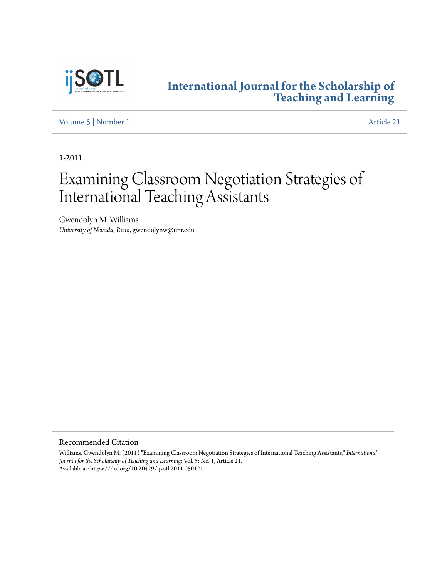

### **[International Journal for the Scholarship of](http://digitalcommons.georgiasouthern.edu/ij-sotl?utm_source=digitalcommons.georgiasouthern.edu%2Fij-sotl%2Fvol5%2Fiss1%2F21&utm_medium=PDF&utm_campaign=PDFCoverPages) [Teaching and Learning](http://digitalcommons.georgiasouthern.edu/ij-sotl?utm_source=digitalcommons.georgiasouthern.edu%2Fij-sotl%2Fvol5%2Fiss1%2F21&utm_medium=PDF&utm_campaign=PDFCoverPages)**

[Volume 5](http://digitalcommons.georgiasouthern.edu/ij-sotl/vol5?utm_source=digitalcommons.georgiasouthern.edu%2Fij-sotl%2Fvol5%2Fiss1%2F21&utm_medium=PDF&utm_campaign=PDFCoverPages) | [Number 1](http://digitalcommons.georgiasouthern.edu/ij-sotl/vol5/iss1?utm_source=digitalcommons.georgiasouthern.edu%2Fij-sotl%2Fvol5%2Fiss1%2F21&utm_medium=PDF&utm_campaign=PDFCoverPages) [Article 21](http://digitalcommons.georgiasouthern.edu/ij-sotl/vol5/iss1/21?utm_source=digitalcommons.georgiasouthern.edu%2Fij-sotl%2Fvol5%2Fiss1%2F21&utm_medium=PDF&utm_campaign=PDFCoverPages)

1-2011

# Examining Classroom Negotiation Strategies of International Teaching Assistants

Gwendolyn M. Williams *University of Nevada, Reno*, gwendolynw@unr.edu

Recommended Citation

Williams, Gwendolyn M. (2011) "Examining Classroom Negotiation Strategies of International Teaching Assistants," *International Journal for the Scholarship of Teaching and Learning*: Vol. 5: No. 1, Article 21. Available at: https://doi.org/10.20429/ijsotl.2011.050121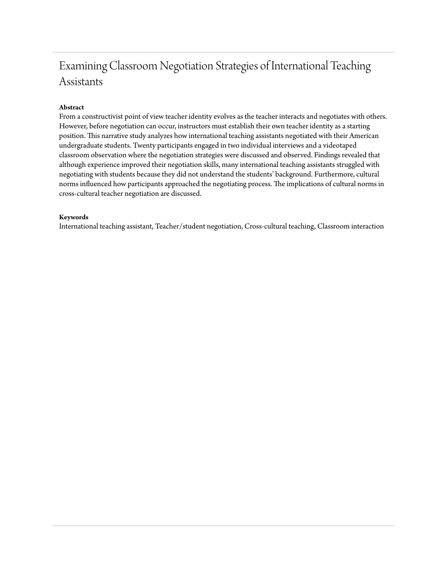## Examining Classroom Negotiation Strategies of International Teaching Assistants

#### **Abstract**

From a constructivist point of view teacher identity evolves as the teacher interacts and negotiates with others. However, before negotiation can occur, instructors must establish their own teacher identity as a starting position. This narrative study analyzes how international teaching assistants negotiated with their American undergraduate students. Twenty participants engaged in two individual interviews and a videotaped classroom observation where the negotiation strategies were discussed and observed. Findings revealed that although experience improved their negotiation skills, many international teaching assistants struggled with negotiating with students because they did not understand the students' background. Furthermore, cultural norms influenced how participants approached the negotiating process. The implications of cultural norms in cross-cultural teacher negotiation are discussed.

#### **Keywords**

International teaching assistant, Teacher/student negotiation, Cross-cultural teaching, Classroom interaction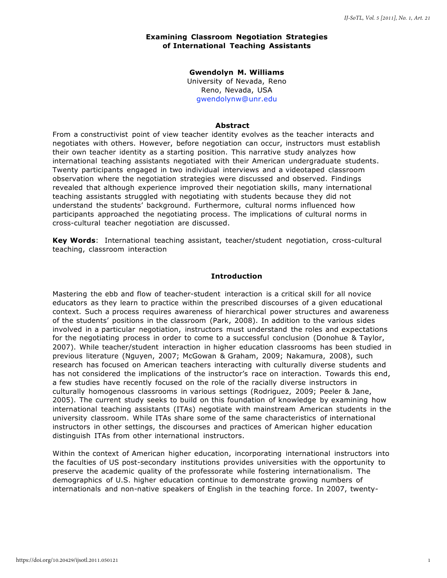#### **Examining Classroom Negotiation Strategies of International Teaching Assistants**

#### **Gwendolyn M. Williams**  University of Nevada, Reno

Reno, Nevada, USA [gwendolynw@unr.edu](mailto:gwendolynw@unr.edu)

#### **Abstract**

From a constructivist point of view teacher identity evolves as the teacher interacts and negotiates with others. However, before negotiation can occur, instructors must establish their own teacher identity as a starting position. This narrative study analyzes how international teaching assistants negotiated with their American undergraduate students. Twenty participants engaged in two individual interviews and a videotaped classroom observation where the negotiation strategies were discussed and observed. Findings revealed that although experience improved their negotiation skills, many international teaching assistants struggled with negotiating with students because they did not understand the students' background. Furthermore, cultural norms influenced how participants approached the negotiating process. The implications of cultural norms in cross-cultural teacher negotiation are discussed.

**Key Words**: International teaching assistant, teacher/student negotiation, cross-cultural teaching, classroom interaction

#### **Introduction**

Mastering the ebb and flow of teacher-student interaction is a critical skill for all novice educators as they learn to practice within the prescribed discourses of a given educational context. Such a process requires awareness of hierarchical power structures and awareness of the students' positions in the classroom (Park, 2008). In addition to the various sides involved in a particular negotiation, instructors must understand the roles and expectations for the negotiating process in order to come to a successful conclusion (Donohue & Taylor, 2007). While teacher/student interaction in higher education classrooms has been studied in previous literature (Nguyen, 2007; McGowan & Graham, 2009; Nakamura, 2008), such research has focused on American teachers interacting with culturally diverse students and has not considered the implications of the instructor's race on interaction. Towards this end, a few studies have recently focused on the role of the racially diverse instructors in culturally homogenous classrooms in various settings (Rodriguez, 2009; Peeler & Jane, 2005). The current study seeks to build on this foundation of knowledge by examining how international teaching assistants (ITAs) negotiate with mainstream American students in the university classroom. While ITAs share some of the same characteristics of international instructors in other settings, the discourses and practices of American higher education distinguish ITAs from other international instructors.

Within the context of American higher education, incorporating international instructors into the faculties of US post-secondary institutions provides universities with the opportunity to preserve the academic quality of the professorate while fostering internationalism. The demographics of U.S. higher education continue to demonstrate growing numbers of internationals and non-native speakers of English in the teaching force. In 2007, twenty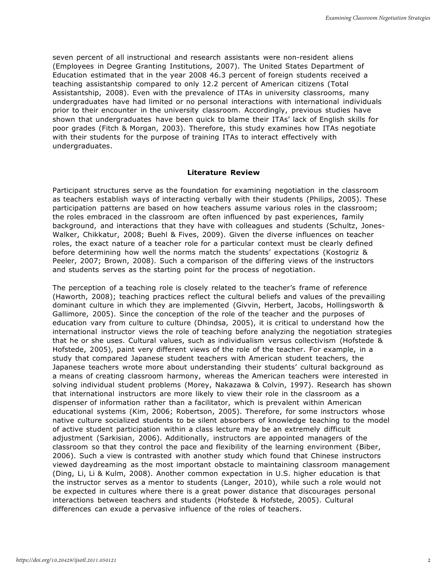seven percent of all instructional and research assistants were non-resident aliens (Employees in Degree Granting Institutions, 2007). The United States Department of Education estimated that in the year 2008 46.3 percent of foreign students received a teaching assistantship compared to only 12.2 percent of American citizens (Total Assistantship, 2008). Even with the prevalence of ITAs in university classrooms, many undergraduates have had limited or no personal interactions with international individuals prior to their encounter in the university classroom. Accordingly, previous studies have shown that undergraduates have been quick to blame their ITAs' lack of English skills for poor grades (Fitch & Morgan, 2003). Therefore, this study examines how ITAs negotiate with their students for the purpose of training ITAs to interact effectively with undergraduates.

#### **Literature Review**

Participant structures serve as the foundation for examining negotiation in the classroom as teachers establish ways of interacting verbally with their students (Philips, 2005). These participation patterns are based on how teachers assume various roles in the classroom; the roles embraced in the classroom are often influenced by past experiences, family background, and interactions that they have with colleagues and students (Schultz, Jones-Walker, Chikkatur, 2008; Buehl & Fives, 2009). Given the diverse influences on teacher roles, the exact nature of a teacher role for a particular context must be clearly defined before determining how well the norms match the students' expectations (Kostogriz & Peeler, 2007; Brown, 2008). Such a comparison of the differing views of the instructors and students serves as the starting point for the process of negotiation.

The perception of a teaching role is closely related to the teacher's frame of reference (Haworth, 2008); teaching practices reflect the cultural beliefs and values of the prevailing dominant culture in which they are implemented (Givvin, Herbert, Jacobs, Hollingsworth & Gallimore, 2005). Since the conception of the role of the teacher and the purposes of education vary from culture to culture (Dhindsa, 2005), it is critical to understand how the international instructor views the role of teaching before analyzing the negotiation strategies that he or she uses. Cultural values, such as individualism versus collectivism (Hofstede & Hofstede, 2005), paint very different views of the role of the teacher. For example, in a study that compared Japanese student teachers with American student teachers, the Japanese teachers wrote more about understanding their students' cultural background as a means of creating classroom harmony, whereas the American teachers were interested in solving individual student problems (Morey, Nakazawa & Colvin, 1997). Research has shown that international instructors are more likely to view their role in the classroom as a dispenser of information rather than a facilitator, which is prevalent within American educational systems (Kim, 2006; Robertson, 2005). Therefore, for some instructors whose native culture socialized students to be silent absorbers of knowledge teaching to the model of active student participation within a class lecture may be an extremely difficult adjustment (Sarkisian, 2006). Additionally, instructors are appointed managers of the classroom so that they control the pace and flexibility of the learning environment (Biber, 2006). Such a view is contrasted with another study which found that Chinese instructors viewed daydreaming as the most important obstacle to maintaining classroom management (Ding, Li, Li & Kulm, 2008). Another common expectation in U.S. higher education is that the instructor serves as a mentor to students (Langer, 2010), while such a role would not be expected in cultures where there is a great power distance that discourages personal interactions between teachers and students (Hofstede & Hofstede, 2005). Cultural differences can exude a pervasive influence of the roles of teachers.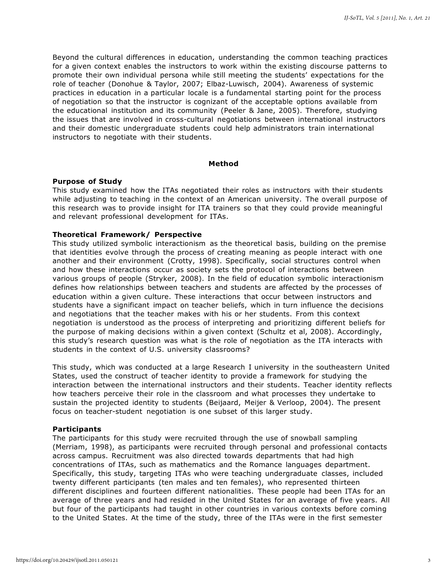Beyond the cultural differences in education, understanding the common teaching practices for a given context enables the instructors to work within the existing discourse patterns to promote their own individual persona while still meeting the students' expectations for the role of teacher (Donohue & Taylor, 2007; Elbaz-Luwisch, 2004). Awareness of systemic practices in education in a particular locale is a fundamental starting point for the process of negotiation so that the instructor is cognizant of the acceptable options available from the educational institution and its community (Peeler & Jane, 2005). Therefore, studying the issues that are involved in cross-cultural negotiations between international instructors and their domestic undergraduate students could help administrators train international instructors to negotiate with their students.

#### **Method**

#### **Purpose of Study**

This study examined how the ITAs negotiated their roles as instructors with their students while adjusting to teaching in the context of an American university. The overall purpose of this research was to provide insight for ITA trainers so that they could provide meaningful and relevant professional development for ITAs.

#### **Theoretical Framework/ Perspective**

This study utilized symbolic interactionism as the theoretical basis, building on the premise that identities evolve through the process of creating meaning as people interact with one another and their environment (Crotty, 1998). Specifically, social structures control when and how these interactions occur as society sets the protocol of interactions between various groups of people (Stryker, 2008). In the field of education symbolic interactionism defines how relationships between teachers and students are affected by the processes of education within a given culture. These interactions that occur between instructors and students have a significant impact on teacher beliefs, which in turn influence the decisions and negotiations that the teacher makes with his or her students. From this context negotiation is understood as the process of interpreting and prioritizing different beliefs for the purpose of making decisions within a given context (Schultz et al, 2008). Accordingly, this study's research question was what is the role of negotiation as the ITA interacts with students in the context of U.S. university classrooms?

This study, which was conducted at a large Research I university in the southeastern United States, used the construct of teacher identity to provide a framework for studying the interaction between the international instructors and their students. Teacher identity reflects how teachers perceive their role in the classroom and what processes they undertake to sustain the projected identity to students (Beijaard, Meijer & Verloop, 2004). The present focus on teacher-student negotiation is one subset of this larger study.

#### **Participants**

The participants for this study were recruited through the use of snowball sampling (Merriam, 1998), as participants were recruited through personal and professional contacts across campus. Recruitment was also directed towards departments that had high concentrations of ITAs, such as mathematics and the Romance languages department. Specifically, this study, targeting ITAs who were teaching undergraduate classes, included twenty different participants (ten males and ten females), who represented thirteen different disciplines and fourteen different nationalities. These people had been ITAs for an average of three years and had resided in the United States for an average of five years. All but four of the participants had taught in other countries in various contexts before coming to the United States. At the time of the study, three of the ITAs were in the first semester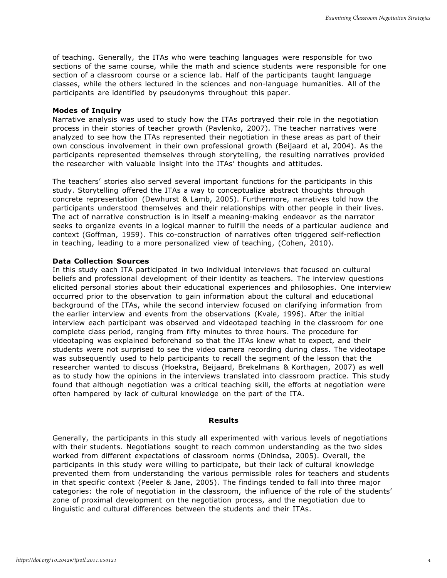of teaching. Generally, the ITAs who were teaching languages were responsible for two sections of the same course, while the math and science students were responsible for one section of a classroom course or a science lab. Half of the participants taught language classes, while the others lectured in the sciences and non-language humanities. All of the participants are identified by pseudonyms throughout this paper.

#### **Modes of Inquiry**

Narrative analysis was used to study how the ITAs portrayed their role in the negotiation process in their stories of teacher growth (Pavlenko, 2007). The teacher narratives were analyzed to see how the ITAs represented their negotiation in these areas as part of their own conscious involvement in their own professional growth (Beijaard et al, 2004). As the participants represented themselves through storytelling, the resulting narratives provided the researcher with valuable insight into the ITAs' thoughts and attitudes.

The teachers' stories also served several important functions for the participants in this study. Storytelling offered the ITAs a way to conceptualize abstract thoughts through concrete representation (Dewhurst & Lamb, 2005). Furthermore, narratives told how the participants understood themselves and their relationships with other people in their lives. The act of narrative construction is in itself a meaning-making endeavor as the narrator seeks to organize events in a logical manner to fulfill the needs of a particular audience and context (Goffman, 1959). This co-construction of narratives often triggered self-reflection in teaching, leading to a more personalized view of teaching, (Cohen, 2010).

#### **Data Collection Sources**

In this study each ITA participated in two individual interviews that focused on cultural beliefs and professional development of their identity as teachers. The interview questions elicited personal stories about their educational experiences and philosophies. One interview occurred prior to the observation to gain information about the cultural and educational background of the ITAs, while the second interview focused on clarifying information from the earlier interview and events from the observations (Kvale, 1996). After the initial interview each participant was observed and videotaped teaching in the classroom for one complete class period, ranging from fifty minutes to three hours. The procedure for videotaping was explained beforehand so that the ITAs knew what to expect, and their students were not surprised to see the video camera recording during class. The videotape was subsequently used to help participants to recall the segment of the lesson that the researcher wanted to discuss (Hoekstra, Beijaard, Brekelmans & Korthagen, 2007) as well as to study how the opinions in the interviews translated into classroom practice. This study found that although negotiation was a critical teaching skill, the efforts at negotiation were often hampered by lack of cultural knowledge on the part of the ITA.

#### **Results**

Generally, the participants in this study all experimented with various levels of negotiations with their students. Negotiations sought to reach common understanding as the two sides worked from different expectations of classroom norms (Dhindsa, 2005). Overall, the participants in this study were willing to participate, but their lack of cultural knowledge prevented them from understanding the various permissible roles for teachers and students in that specific context (Peeler & Jane, 2005). The findings tended to fall into three major categories: the role of negotiation in the classroom, the influence of the role of the students' zone of proximal development on the negotiation process, and the negotiation due to linguistic and cultural differences between the students and their ITAs.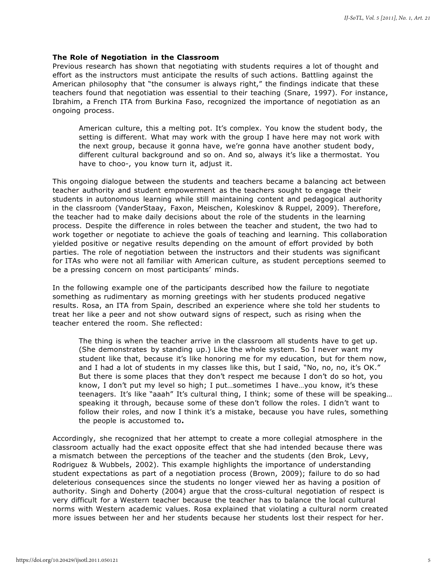#### **The Role of Negotiation in the Classroom**

Previous research has shown that negotiating with students requires a lot of thought and effort as the instructors must anticipate the results of such actions. Battling against the American philosophy that "the consumer is always right," the findings indicate that these teachers found that negotiation was essential to their teaching (Snare, 1997). For instance, Ibrahim, a French ITA from Burkina Faso, recognized the importance of negotiation as an ongoing process.

American culture, this a melting pot. It's complex. You know the student body, the setting is different. What may work with the group I have here may not work with the next group, because it gonna have, we're gonna have another student body, different cultural background and so on. And so, always it's like a thermostat. You have to choo-, you know turn it, adjust it.

This ongoing dialogue between the students and teachers became a balancing act between teacher authority and student empowerment as the teachers sought to engage their students in autonomous learning while still maintaining content and pedagogical authority in the classroom (VanderStaay, Faxon, Meischen, Koleskinov & Ruppel, 2009). Therefore, the teacher had to make daily decisions about the role of the students in the learning process. Despite the difference in roles between the teacher and student, the two had to work together or negotiate to achieve the goals of teaching and learning. This collaboration yielded positive or negative results depending on the amount of effort provided by both parties. The role of negotiation between the instructors and their students was significant for ITAs who were not all familiar with American culture, as student perceptions seemed to be a pressing concern on most participants' minds.

In the following example one of the participants described how the failure to negotiate something as rudimentary as morning greetings with her students produced negative results. Rosa, an ITA from Spain, described an experience where she told her students to treat her like a peer and not show outward signs of respect, such as rising when the teacher entered the room. She reflected:

The thing is when the teacher arrive in the classroom all students have to get up. (She demonstrates by standing up.) Like the whole system. So I never want my student like that, because it's like honoring me for my education, but for them now, and I had a lot of students in my classes like this, but I said, "No, no, no, it's OK." But there is some places that they don't respect me because I don't do so hot, you know, I don't put my level so high; I put…sometimes I have…you know, it's these teenagers. It's like "aaah" It's cultural thing, I think; some of these will be speaking… speaking it through, because some of these don't follow the roles. I didn't want to follow their roles, and now I think it's a mistake, because you have rules, something the people is accustomed to**.**

Accordingly, she recognized that her attempt to create a more collegial atmosphere in the classroom actually had the exact opposite effect that she had intended because there was a mismatch between the perceptions of the teacher and the students (den Brok, Levy, Rodriguez & Wubbels, 2002). This example highlights the importance of understanding student expectations as part of a negotiation process (Brown, 2009); failure to do so had deleterious consequences since the students no longer viewed her as having a position of authority. Singh and Doherty (2004) argue that the cross-cultural negotiation of respect is very difficult for a Western teacher because the teacher has to balance the local cultural norms with Western academic values. Rosa explained that violating a cultural norm created more issues between her and her students because her students lost their respect for her.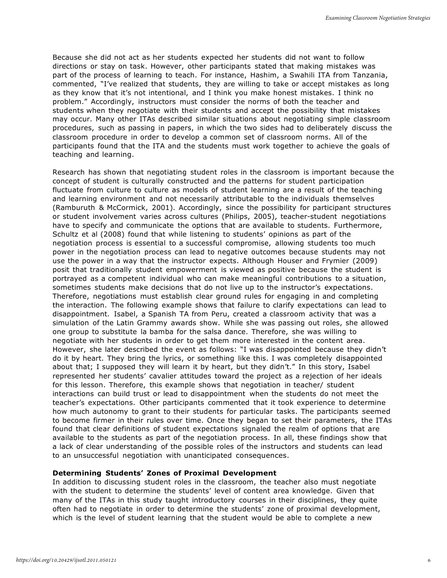Because she did not act as her students expected her students did not want to follow directions or stay on task. However, other participants stated that making mistakes was part of the process of learning to teach. For instance, Hashim, a Swahili ITA from Tanzania, commented, "I've realized that students, they are willing to take or accept mistakes as long as they know that it's not intentional, and I think you make honest mistakes. I think no problem." Accordingly, instructors must consider the norms of both the teacher and students when they negotiate with their students and accept the possibility that mistakes may occur. Many other ITAs described similar situations about negotiating simple classroom procedures, such as passing in papers, in which the two sides had to deliberately discuss the classroom procedure in order to develop a common set of classroom norms. All of the participants found that the ITA and the students must work together to achieve the goals of teaching and learning.

Research has shown that negotiating student roles in the classroom is important because the concept of student is culturally constructed and the patterns for student participation fluctuate from culture to culture as models of student learning are a result of the teaching and learning environment and not necessarily attributable to the individuals themselves (Ramburuth & McCormick, 2001). Accordingly, since the possibility for participant structures or student involvement varies across cultures (Philips, 2005), teacher-student negotiations have to specify and communicate the options that are available to students. Furthermore, Schultz et al (2008) found that while listening to students' opinions as part of the negotiation process is essential to a successful compromise, allowing students too much power in the negotiation process can lead to negative outcomes because students may not use the power in a way that the instructor expects. Although Houser and Frymier (2009) posit that traditionally student empowerment is viewed as positive because the student is portrayed as a competent individual who can make meaningful contributions to a situation, sometimes students make decisions that do not live up to the instructor's expectations. Therefore, negotiations must establish clear ground rules for engaging in and completing the interaction. The following example shows that failure to clarify expectations can lead to disappointment. Isabel, a Spanish TA from Peru, created a classroom activity that was a simulation of the Latin Grammy awards show. While she was passing out roles, she allowed one group to substitute la bamba for the salsa dance. Therefore, she was willing to negotiate with her students in order to get them more interested in the content area. However, she later described the event as follows: "I was disappointed because they didn't do it by heart. They bring the lyrics, or something like this. I was completely disappointed about that; I supposed they will learn it by heart, but they didn't." In this story, Isabel represented her students' cavalier attitudes toward the project as a rejection of her ideals for this lesson. Therefore, this example shows that negotiation in teacher/ student interactions can build trust or lead to disappointment when the students do not meet the teacher's expectations. Other participants commented that it took experience to determine how much autonomy to grant to their students for particular tasks. The participants seemed to become firmer in their rules over time. Once they began to set their parameters, the ITAs found that clear definitions of student expectations signaled the realm of options that are available to the students as part of the negotiation process. In all, these findings show that a lack of clear understanding of the possible roles of the instructors and students can lead to an unsuccessful negotiation with unanticipated consequences.

#### **Determining Students' Zones of Proximal Development**

In addition to discussing student roles in the classroom, the teacher also must negotiate with the student to determine the students' level of content area knowledge. Given that many of the ITAs in this study taught introductory courses in their disciplines, they quite often had to negotiate in order to determine the students' zone of proximal development, which is the level of student learning that the student would be able to complete a new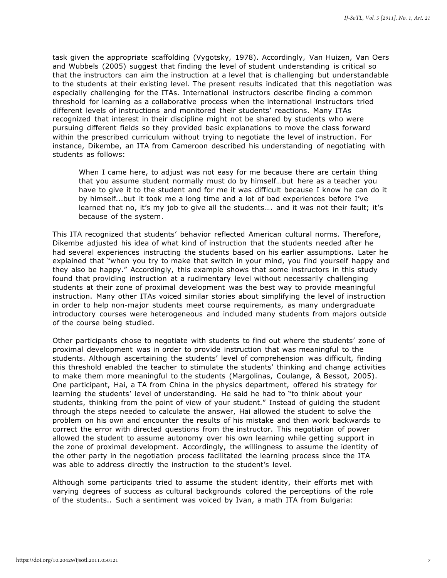task given the appropriate scaffolding (Vygotsky, 1978). Accordingly, Van Huizen, Van Oers and Wubbels (2005) suggest that finding the level of student understanding is critical so that the instructors can aim the instruction at a level that is challenging but understandable to the students at their existing level. The present results indicated that this negotiation was especially challenging for the ITAs. International instructors describe finding a common threshold for learning as a collaborative process when the international instructors tried different levels of instructions and monitored their students' reactions. Many ITAs recognized that interest in their discipline might not be shared by students who were pursuing different fields so they provided basic explanations to move the class forward within the prescribed curriculum without trying to negotiate the level of instruction. For instance, Dikembe, an ITA from Cameroon described his understanding of negotiating with students as follows:

When I came here, to adjust was not easy for me because there are certain thing that you assume student normally must do by himself…but here as a teacher you have to give it to the student and for me it was difficult because I know he can do it by himself...but it took me a long time and a lot of bad experiences before I've learned that no, it's my job to give all the students…. and it was not their fault; it's because of the system.

This ITA recognized that students' behavior reflected American cultural norms. Therefore, Dikembe adjusted his idea of what kind of instruction that the students needed after he had several experiences instructing the students based on his earlier assumptions. Later he explained that "when you try to make that switch in your mind, you find yourself happy and they also be happy." Accordingly, this example shows that some instructors in this study found that providing instruction at a rudimentary level without necessarily challenging students at their zone of proximal development was the best way to provide meaningful instruction. Many other ITAs voiced similar stories about simplifying the level of instruction in order to help non-major students meet course requirements, as many undergraduate introductory courses were heterogeneous and included many students from majors outside of the course being studied.

Other participants chose to negotiate with students to find out where the students' zone of proximal development was in order to provide instruction that was meaningful to the students. Although ascertaining the students' level of comprehension was difficult, finding this threshold enabled the teacher to stimulate the students' thinking and change activities to make them more meaningful to the students (Margolinas, Coulange, & Bessot, 2005). One participant, Hai, a TA from China in the physics department, offered his strategy for learning the students' level of understanding. He said he had to "to think about your students, thinking from the point of view of your student." Instead of guiding the student through the steps needed to calculate the answer, Hai allowed the student to solve the problem on his own and encounter the results of his mistake and then work backwards to correct the error with directed questions from the instructor. This negotiation of power allowed the student to assume autonomy over his own learning while getting support in the zone of proximal development. Accordingly, the willingness to assume the identity of the other party in the negotiation process facilitated the learning process since the ITA was able to address directly the instruction to the student's level.

Although some participants tried to assume the student identity, their efforts met with varying degrees of success as cultural backgrounds colored the perceptions of the role of the students.. Such a sentiment was voiced by Ivan, a math ITA from Bulgaria: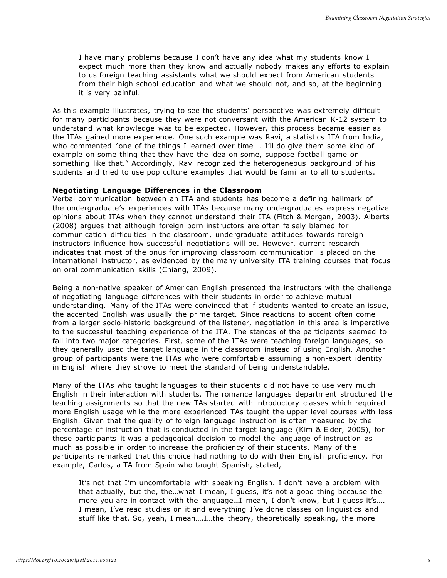I have many problems because I don't have any idea what my students know I expect much more than they know and actually nobody makes any efforts to explain to us foreign teaching assistants what we should expect from American students from their high school education and what we should not, and so, at the beginning it is very painful.

As this example illustrates, trying to see the students' perspective was extremely difficult for many participants because they were not conversant with the American K-12 system to understand what knowledge was to be expected. However, this process became easier as the ITAs gained more experience. One such example was Ravi, a statistics ITA from India, who commented "one of the things I learned over time…. I'll do give them some kind of example on some thing that they have the idea on some, suppose football game or something like that." Accordingly, Ravi recognized the heterogeneous background of his students and tried to use pop culture examples that would be familiar to all to students.

#### **Negotiating Language Differences in the Classroom**

Verbal communication between an ITA and students has become a defining hallmark of the undergraduate's experiences with ITAs because many undergraduates express negative opinions about ITAs when they cannot understand their ITA (Fitch & Morgan, 2003). Alberts (2008) argues that although foreign born instructors are often falsely blamed for communication difficulties in the classroom, undergraduate attitudes towards foreign instructors influence how successful negotiations will be. However, current research indicates that most of the onus for improving classroom communication is placed on the international instructor, as evidenced by the many university ITA training courses that focus on oral communication skills (Chiang, 2009).

Being a non-native speaker of American English presented the instructors with the challenge of negotiating language differences with their students in order to achieve mutual understanding. Many of the ITAs were convinced that if students wanted to create an issue, the accented English was usually the prime target. Since reactions to accent often come from a larger socio-historic background of the listener, negotiation in this area is imperative to the successful teaching experience of the ITA. The stances of the participants seemed to fall into two major categories. First, some of the ITAs were teaching foreign languages, so they generally used the target language in the classroom instead of using English. Another group of participants were the ITAs who were comfortable assuming a non-expert identity in English where they strove to meet the standard of being understandable.

Many of the ITAs who taught languages to their students did not have to use very much English in their interaction with students. The romance languages department structured the teaching assignments so that the new TAs started with introductory classes which required more English usage while the more experienced TAs taught the upper level courses with less English. Given that the quality of foreign language instruction is often measured by the percentage of instruction that is conducted in the target language (Kim & Elder, 2005), for these participants it was a pedagogical decision to model the language of instruction as much as possible in order to increase the proficiency of their students. Many of the participants remarked that this choice had nothing to do with their English proficiency. For example, Carlos, a TA from Spain who taught Spanish, stated,

It's not that I'm uncomfortable with speaking English. I don't have a problem with that actually, but the, the…what I mean, I guess, it's not a good thing because the more you are in contact with the language…I mean, I don't know, but I guess it's…. I mean, I've read studies on it and everything I've done classes on linguistics and stuff like that. So, yeah, I mean….I…the theory, theoretically speaking, the more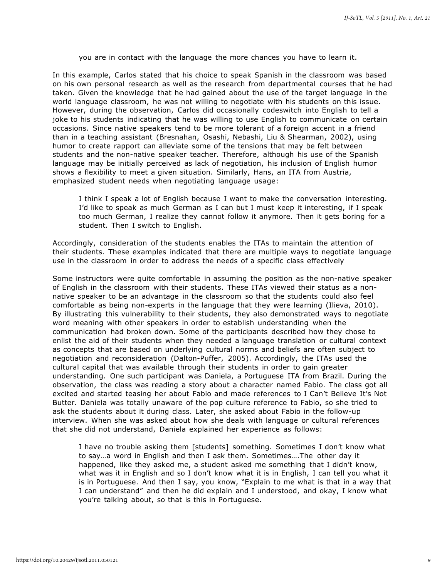you are in contact with the language the more chances you have to learn it.

In this example, Carlos stated that his choice to speak Spanish in the classroom was based on his own personal research as well as the research from departmental courses that he had taken. Given the knowledge that he had gained about the use of the target language in the world language classroom, he was not willing to negotiate with his students on this issue. However, during the observation, Carlos did occasionally codeswitch into English to tell a joke to his students indicating that he was willing to use English to communicate on certain occasions. Since native speakers tend to be more tolerant of a foreign accent in a friend than in a teaching assistant (Bresnahan, Osashi, Nebashi, Liu & Shearman, 2002), using humor to create rapport can alleviate some of the tensions that may be felt between students and the non-native speaker teacher. Therefore, although his use of the Spanish language may be initially perceived as lack of negotiation, his inclusion of English humor shows a flexibility to meet a given situation. Similarly, Hans, an ITA from Austria, emphasized student needs when negotiating language usage:

I think I speak a lot of English because I want to make the conversation interesting. I'd like to speak as much German as I can but I must keep it interesting, if I speak too much German, I realize they cannot follow it anymore. Then it gets boring for a student. Then I switch to English.

Accordingly, consideration of the students enables the ITAs to maintain the attention of their students. These examples indicated that there are multiple ways to negotiate language use in the classroom in order to address the needs of a specific class effectively

Some instructors were quite comfortable in assuming the position as the non-native speaker of English in the classroom with their students. These ITAs viewed their status as a nonnative speaker to be an advantage in the classroom so that the students could also feel comfortable as being non-experts in the language that they were learning (Ilieva, 2010). By illustrating this vulnerability to their students, they also demonstrated ways to negotiate word meaning with other speakers in order to establish understanding when the communication had broken down. Some of the participants described how they chose to enlist the aid of their students when they needed a language translation or cultural context as concepts that are based on underlying cultural norms and beliefs are often subject to negotiation and reconsideration (Dalton-Puffer, 2005). Accordingly, the ITAs used the cultural capital that was available through their students in order to gain greater understanding. One such participant was Daniela, a Portuguese ITA from Brazil. During the observation, the class was reading a story about a character named Fabio. The class got all excited and started teasing her about Fabio and made references to I Can't Believe It's Not Butter. Daniela was totally unaware of the pop culture reference to Fabio, so she tried to ask the students about it during class. Later, she asked about Fabio in the follow-up interview. When she was asked about how she deals with language or cultural references that she did not understand, Daniela explained her experience as follows:

I have no trouble asking them [students] something. Sometimes I don't know what to say…a word in English and then I ask them. Sometimes….The other day it happened, like they asked me, a student asked me something that I didn't know, what was it in English and so I don't know what it is in English, I can tell you what it is in Portuguese. And then I say, you know, "Explain to me what is that in a way that I can understand" and then he did explain and I understood, and okay, I know what you're talking about, so that is this in Portuguese.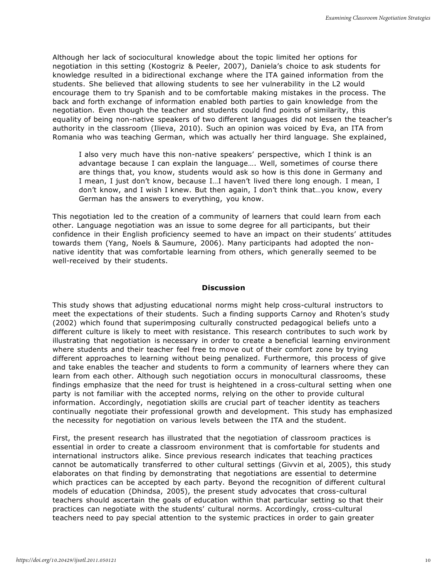Although her lack of sociocultural knowledge about the topic limited her options for negotiation in this setting (Kostogriz & Peeler, 2007), Daniela's choice to ask students for knowledge resulted in a bidirectional exchange where the ITA gained information from the students. She believed that allowing students to see her vulnerability in the L2 would encourage them to try Spanish and to be comfortable making mistakes in the process. The back and forth exchange of information enabled both parties to gain knowledge from the negotiation. Even though the teacher and students could find points of similarity, this equality of being non-native speakers of two different languages did not lessen the teacher's authority in the classroom (Ilieva, 2010). Such an opinion was voiced by Eva, an ITA from Romania who was teaching German, which was actually her third language. She explained,

I also very much have this non-native speakers' perspective, which I think is an advantage because I can explain the language…. Well, sometimes of course there are things that, you know, students would ask so how is this done in Germany and I mean, I just don't know, because I…I haven't lived there long enough. I mean, I don't know, and I wish I knew. But then again, I don't think that…you know, every German has the answers to everything, you know.

This negotiation led to the creation of a community of learners that could learn from each other. Language negotiation was an issue to some degree for all participants, but their confidence in their English proficiency seemed to have an impact on their students' attitudes towards them (Yang, Noels & Saumure, 2006). Many participants had adopted the nonnative identity that was comfortable learning from others, which generally seemed to be well-received by their students.

#### **Discussion**

This study shows that adjusting educational norms might help cross-cultural instructors to meet the expectations of their students. Such a finding supports Carnoy and Rhoten's study (2002) which found that superimposing culturally constructed pedagogical beliefs unto a different culture is likely to meet with resistance. This research contributes to such work by illustrating that negotiation is necessary in order to create a beneficial learning environment where students and their teacher feel free to move out of their comfort zone by trying different approaches to learning without being penalized. Furthermore, this process of give and take enables the teacher and students to form a community of learners where they can learn from each other. Although such negotiation occurs in monocultural classrooms, these findings emphasize that the need for trust is heightened in a cross-cultural setting when one party is not familiar with the accepted norms, relying on the other to provide cultural information. Accordingly, negotiation skills are crucial part of teacher identity as teachers continually negotiate their professional growth and development. This study has emphasized the necessity for negotiation on various levels between the ITA and the student.

First, the present research has illustrated that the negotiation of classroom practices is essential in order to create a classroom environment that is comfortable for students and international instructors alike. Since previous research indicates that teaching practices cannot be automatically transferred to other cultural settings (Givvin et al, 2005), this study elaborates on that finding by demonstrating that negotiations are essential to determine which practices can be accepted by each party. Beyond the recognition of different cultural models of education (Dhindsa, 2005), the present study advocates that cross-cultural teachers should ascertain the goals of education within that particular setting so that their practices can negotiate with the students' cultural norms. Accordingly, cross-cultural teachers need to pay special attention to the systemic practices in order to gain greater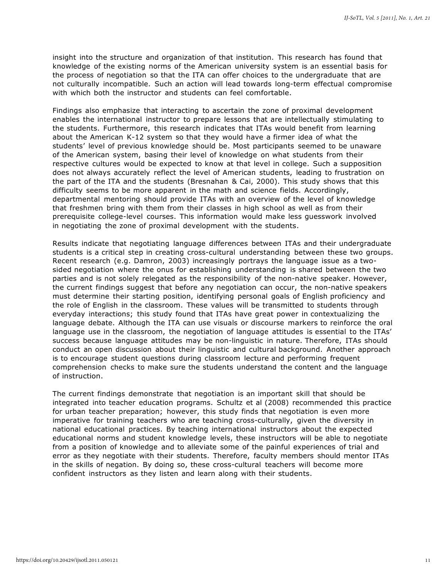insight into the structure and organization of that institution. This research has found that knowledge of the existing norms of the American university system is an essential basis for the process of negotiation so that the ITA can offer choices to the undergraduate that are not culturally incompatible. Such an action will lead towards long-term effectual compromise with which both the instructor and students can feel comfortable.

Findings also emphasize that interacting to ascertain the zone of proximal development enables the international instructor to prepare lessons that are intellectually stimulating to the students. Furthermore, this research indicates that ITAs would benefit from learning about the American K-12 system so that they would have a firmer idea of what the students' level of previous knowledge should be. Most participants seemed to be unaware of the American system, basing their level of knowledge on what students from their respective cultures would be expected to know at that level in college. Such a supposition does not always accurately reflect the level of American students, leading to frustration on the part of the ITA and the students (Bresnahan & Cai, 2000). This study shows that this difficulty seems to be more apparent in the math and science fields. Accordingly, departmental mentoring should provide ITAs with an overview of the level of knowledge that freshmen bring with them from their classes in high school as well as from their prerequisite college-level courses. This information would make less guesswork involved in negotiating the zone of proximal development with the students.

Results indicate that negotiating language differences between ITAs and their undergraduate students is a critical step in creating cross-cultural understanding between these two groups. Recent research (e.g. Damron, 2003) increasingly portrays the language issue as a twosided negotiation where the onus for establishing understanding is shared between the two parties and is not solely relegated as the responsibility of the non-native speaker. However, the current findings suggest that before any negotiation can occur, the non-native speakers must determine their starting position, identifying personal goals of English proficiency and the role of English in the classroom. These values will be transmitted to students through everyday interactions; this study found that ITAs have great power in contextualizing the language debate. Although the ITA can use visuals or discourse markers to reinforce the oral language use in the classroom, the negotiation of language attitudes is essential to the ITAs' success because language attitudes may be non-linguistic in nature. Therefore, ITAs should conduct an open discussion about their linguistic and cultural background. Another approach is to encourage student questions during classroom lecture and performing frequent comprehension checks to make sure the students understand the content and the language of instruction.

The current findings demonstrate that negotiation is an important skill that should be integrated into teacher education programs. Schultz et al (2008) recommended this practice for urban teacher preparation; however, this study finds that negotiation is even more imperative for training teachers who are teaching cross-culturally, given the diversity in national educational practices. By teaching international instructors about the expected educational norms and student knowledge levels, these instructors will be able to negotiate from a position of knowledge and to alleviate some of the painful experiences of trial and error as they negotiate with their students. Therefore, faculty members should mentor ITAs in the skills of negation. By doing so, these cross-cultural teachers will become more confident instructors as they listen and learn along with their students.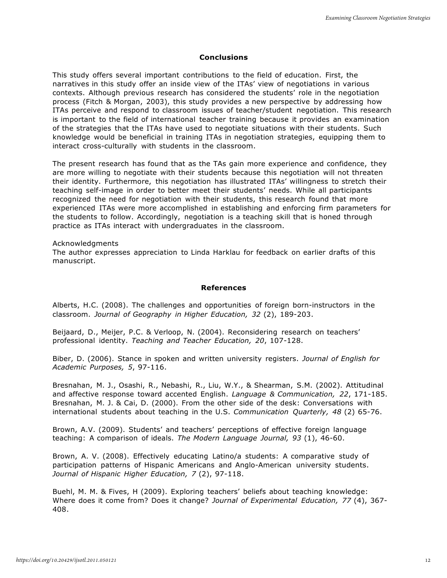#### **Conclusions**

This study offers several important contributions to the field of education. First, the narratives in this study offer an inside view of the ITAs' view of negotiations in various contexts. Although previous research has considered the students' role in the negotiation process (Fitch & Morgan, 2003), this study provides a new perspective by addressing how ITAs perceive and respond to classroom issues of teacher/student negotiation. This research is important to the field of international teacher training because it provides an examination of the strategies that the ITAs have used to negotiate situations with their students. Such knowledge would be beneficial in training ITAs in negotiation strategies, equipping them to interact cross-culturally with students in the classroom.

The present research has found that as the TAs gain more experience and confidence, they are more willing to negotiate with their students because this negotiation will not threaten their identity. Furthermore, this negotiation has illustrated ITAs' willingness to stretch their teaching self-image in order to better meet their students' needs. While all participants recognized the need for negotiation with their students, this research found that more experienced ITAs were more accomplished in establishing and enforcing firm parameters for the students to follow. Accordingly, negotiation is a teaching skill that is honed through practice as ITAs interact with undergraduates in the classroom.

Acknowledgments

The author expresses appreciation to Linda Harklau for feedback on earlier drafts of this manuscript.

#### **References**

Alberts, H.C. (2008). The challenges and opportunities of foreign born-instructors in the classroom. *Journal of Geography in Higher Education, 32* (2), 189-203.

Beijaard, D., Meijer, P.C. & Verloop, N. (2004). Reconsidering research on teachers' professional identity. *Teaching and Teacher Education, 20*, 107-128.

Biber, D. (2006). Stance in spoken and written university registers. *Journal of English for Academic Purposes, 5*, 97-116.

Bresnahan, M. J., Osashi, R., Nebashi, R., Liu, W.Y., & Shearman, S.M. (2002). Attitudinal and affective response toward accented English. *Language & Communication, 22*, 171-185. Bresnahan, M. J. & Cai, D. (2000). From the other side of the desk: Conversations with international students about teaching in the U.S. *Communication Quarterly, 48* (2) 65-76.

Brown, A.V. (2009). Students' and teachers' perceptions of effective foreign language teaching: A comparison of ideals. *The Modern Language Journal, 93* (1), 46-60.

Brown, A. V. (2008). Effectively educating Latino/a students: A comparative study of participation patterns of Hispanic Americans and Anglo-American university students. *Journal of Hispanic Higher Education, 7* (2), 97-118.

Buehl, M. M. & Fives, H (2009). Exploring teachers' beliefs about teaching knowledge: Where does it come from? Does it change? *Journal of Experimental Education, 77* (4), 367- 408.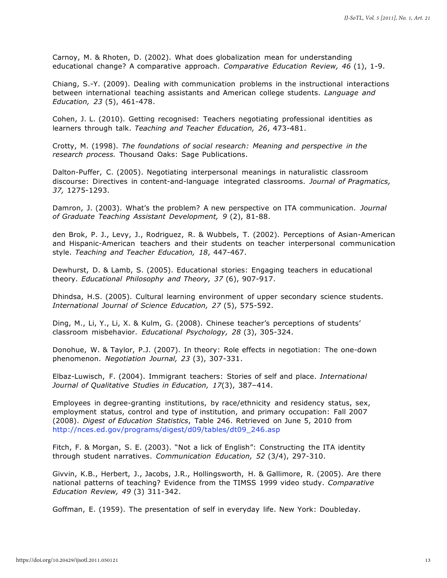Carnoy, M. & Rhoten, D. (2002). What does globalization mean for understanding educational change? A comparative approach. *Comparative Education Review, 46* (1), 1-9.

Chiang, S.-Y. (2009). Dealing with communication problems in the instructional interactions between international teaching assistants and American college students. *Language and Education, 23* (5), 461-478.

Cohen, J. L. (2010). Getting recognised: Teachers negotiating professional identities as learners through talk. *Teaching and Teacher Education, 26*, 473-481.

Crotty, M. (1998). *The foundations of social research: Meaning and perspective in the research process.* Thousand Oaks: Sage Publications.

Dalton-Puffer, C. (2005). Negotiating interpersonal meanings in naturalistic classroom discourse: Directives in content-and-language integrated classrooms. *Journal of Pragmatics, 37,* 1275-1293.

Damron, J. (2003). What's the problem? A new perspective on ITA communication. *Journal of Graduate Teaching Assistant Development, 9* (2), 81-88.

den Brok, P. J., Levy, J., Rodriguez, R. & Wubbels, T. (2002). Perceptions of Asian-American and Hispanic-American teachers and their students on teacher interpersonal communication style. *Teaching and Teacher Education, 18*, 447-467.

Dewhurst, D. & Lamb, S. (2005). Educational stories: Engaging teachers in educational theory. *Educational Philosophy and Theory, 37* (6), 907-917.

Dhindsa, H.S. (2005). Cultural learning environment of upper secondary science students. *International Journal of Science Education, 27* (5), 575-592.

Ding, M., Li, Y., Li, X. & Kulm, G. (2008). Chinese teacher's perceptions of students' classroom misbehavior. *Educational Psychology, 28* (3), 305-324.

Donohue, W. & Taylor, P.J. (2007). In theory: Role effects in negotiation: The one-down phenomenon. *Negotiation Journal, 23* (3), 307-331.

Elbaz-Luwisch, F. (2004). Immigrant teachers: Stories of self and place. *International Journal of Qualitative Studies in Education, 17*(3), 387–414.

Employees in degree-granting institutions, by race/ethnicity and residency status, sex, employment status, control and type of institution, and primary occupation: Fall 2007 (2008). *Digest of Education Statistics*, Table 246. Retrieved on June 5, 2010 from [http://nces.ed.gov/programs/digest/d09/tables/dt09\\_246.asp](http://nces.ed.gov/programs/digest/d09/tables/dt09_246.asp)

Fitch, F. & Morgan, S. E. (2003). "Not a lick of English": Constructing the ITA identity through student narratives. *Communication Education, 52* (3/4), 297-310.

Givvin, K.B., Herbert, J., Jacobs, J.R., Hollingsworth, H. & Gallimore, R. (2005). Are there national patterns of teaching? Evidence from the TIMSS 1999 video study. *Comparative Education Review, 49* (3) 311-342.

Goffman, E. (1959). The presentation of self in everyday life. New York: Doubleday.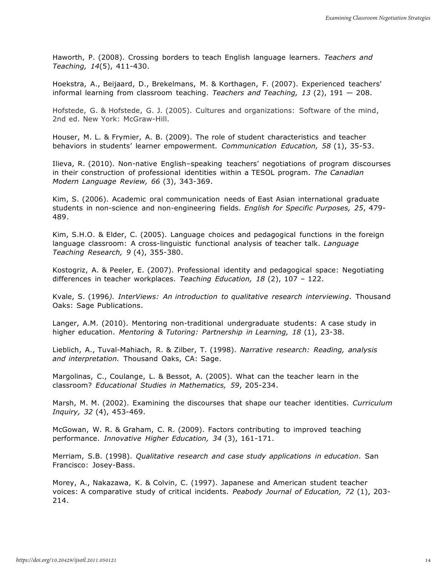Haworth, P. (2008). Crossing borders to teach English language learners. *Teachers and Teaching, 14*(5), 411-430.

Hoekstra, A., Beijaard, D., Brekelmans, M. & Korthagen, F. (2007). Experienced teachers' informal learning from classroom teaching. *Teachers and Teaching, 13* (2), 191 — 208.

Hofstede, G. & Hofstede, G. J. (2005). Cultures and organizations: Software of the mind, 2nd ed. New York: McGraw-Hill.

Houser, M. L. & Frymier, A. B. (2009). The role of student characteristics and teacher behaviors in students' learner empowerment. *Communication Education, 58* (1), 35-53.

Ilieva, R. (2010). Non-native English–speaking teachers' negotiations of program discourses in their construction of professional identities within a TESOL program. *The Canadian Modern Language Review, 66* (3), 343-369.

Kim, S. (2006). Academic oral communication needs of East Asian international graduate students in non-science and non-engineering fields. *English for Specific Purposes, 25*, 479- 489.

Kim, S.H.O. & Elder, C. (2005). Language choices and pedagogical functions in the foreign language classroom: A cross-linguistic functional analysis of teacher talk. *Language Teaching Research, 9* (4), 355-380.

Kostogriz, A. & Peeler, E. (2007). Professional identity and pedagogical space: Negotiating differences in teacher workplaces. *Teaching Education, 18* (2), 107 – 122.

Kvale, S. (1996*). InterViews: An introduction to qualitative research interviewing*. Thousand Oaks: Sage Publications.

Langer, A.M. (2010). Mentoring non-traditional undergraduate students: A case study in higher education. *Mentoring & Tutoring: Partnership in Learning, 18* (1), 23-38.

Lieblich, A., Tuval-Mahiach, R. & Zilber, T. (1998). *Narrative research: Reading, analysis and interpretation.* Thousand Oaks, CA: Sage.

Margolinas, C., Coulange, L. & Bessot, A. (2005). What can the teacher learn in the classroom? *Educational Studies in Mathematics, 59*, 205-234.

Marsh, M. M. (2002). Examining the discourses that shape our teacher identities. *Curriculum Inquiry, 32* (4), 453-469.

McGowan, W. R. & Graham, C. R. (2009). Factors contributing to improved teaching performance. *Innovative Higher Education, 34* (3), 161-171.

Merriam, S.B. (1998). *Qualitative research and case study applications in education*. San Francisco: Josey-Bass.

Morey, A., Nakazawa, K. & Colvin, C. (1997). Japanese and American student teacher voices: A comparative study of critical incidents. *Peabody Journal of Education, 72* (1), 203- 214.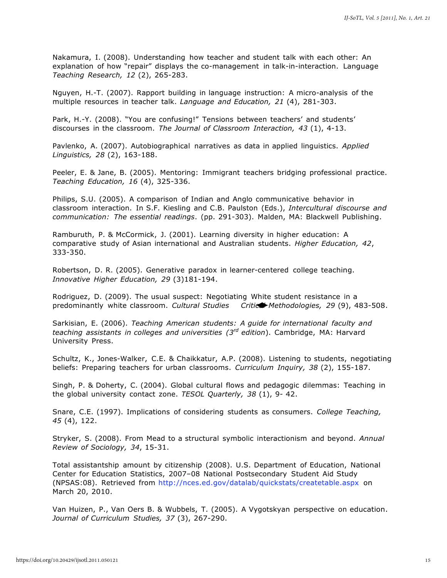Nakamura, I. (2008). Understanding how teacher and student talk with each other: An explanation of how "repair" displays the co-management in talk-in-interaction. Language *Teaching Research, 12* (2), 265-283.

Nguyen, H.-T. (2007). Rapport building in language instruction: A micro-analysis of the multiple resources in teacher talk. *Language and Education, 21* (4), 281-303.

Park, H.-Y. (2008). "You are confusing!" Tensions between teachers' and students' discourses in the classroom. *The Journal of Classroom Interaction, 43* (1), 4-13.

Pavlenko, A. (2007). Autobiographical narratives as data in applied linguistics. *Applied Linguistics, 28* (2), 163-188.

Peeler, E. & Jane, B. (2005). Mentoring: Immigrant teachers bridging professional practice. *Teaching Education, 16* (4), 325-336.

Philips, S.U. (2005). A comparison of Indian and Anglo communicative behavior in classroom interaction. In S.F. Kiesling and C.B. Paulston (Eds.), *Intercultural discourse and communication: The essential readings*. (pp. 291-303). Malden, MA: Blackwell Publishing.

Ramburuth, P. & McCormick, J. (2001). Learning diversity in higher education: A comparative study of Asian international and Australian students. *Higher Education, 42*, 333-350.

Robertson, D. R. (2005). Generative paradox in learner-centered college teaching. *Innovative Higher Education, 29* (3)181-194.

Rodriguez, D. (2009). The usual suspect: Negotiating White student resistance in a predominantly white classroom. *Cultural Studies Critical Methodologies, 29* (9), 483-508.

Sarkisian, E. (2006). *Teaching American students: A guide for international faculty and teaching assistants in colleges and universities (3rd edition*). Cambridge, MA: Harvard University Press.

Schultz, K., Jones-Walker, C.E. & Chaikkatur, A.P. (2008). Listening to students, negotiating beliefs: Preparing teachers for urban classrooms. *Curriculum Inquiry, 38* (2), 155-187.

Singh, P. & Doherty, C. (2004). Global cultural flows and pedagogic dilemmas: Teaching in the global university contact zone. *TESOL Quarterly, 38* (1), 9- 42.

Snare, C.E. (1997). Implications of considering students as consumers. *College Teaching, 45* (4), 122.

Stryker, S. (2008). From Mead to a structural symbolic interactionism and beyond. *Annual Review of Sociology, 34*, 15-31.

Total assistantship amount by citizenship (2008). U.S. Department of Education, National Center for Education Statistics, 2007–08 National Postsecondary Student Aid Study (NPSAS:08). Retrieved from [http://nces.ed.gov/datalab/quickstats/createtable.aspx o](http://nces.ed.gov/datalab/quickstats/createtable.aspx)n March 20, 2010.

Van Huizen, P., Van Oers B. & Wubbels, T. (2005). A Vygotskyan perspective on education. *Journal of Curriculum Studies, 37* (3), 267-290.